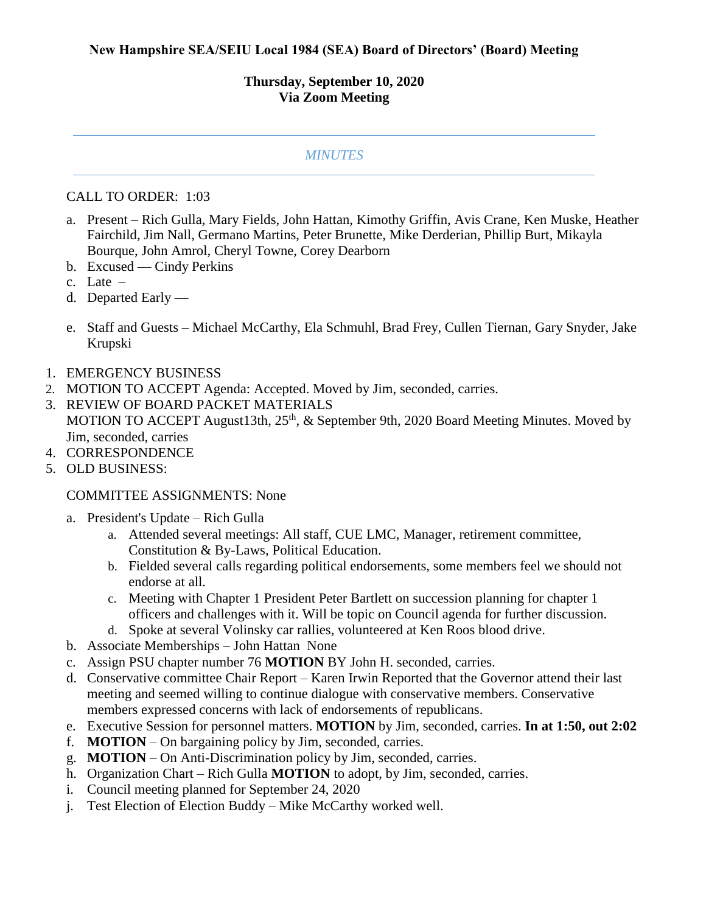## **Thursday, September 10, 2020 Via Zoom Meeting**

## *MINUTES*

## CALL TO ORDER: 1:03

- a. Present Rich Gulla, Mary Fields, John Hattan, Kimothy Griffin, Avis Crane, Ken Muske, Heather Fairchild, Jim Nall, Germano Martins, Peter Brunette, Mike Derderian, Phillip Burt, Mikayla Bourque, John Amrol, Cheryl Towne, Corey Dearborn
- b. Excused Cindy Perkins
- c. Late –
- d. Departed Early —
- e. Staff and Guests Michael McCarthy, Ela Schmuhl, Brad Frey, Cullen Tiernan, Gary Snyder, Jake Krupski
- 1. EMERGENCY BUSINESS
- 2. MOTION TO ACCEPT Agenda: Accepted. Moved by Jim, seconded, carries.
- 3. REVIEW OF BOARD PACKET MATERIALS MOTION TO ACCEPT August13th, 25<sup>th</sup>, & September 9th, 2020 Board Meeting Minutes. Moved by Jim, seconded, carries
- 4. CORRESPONDENCE
- 5. OLD BUSINESS:

## COMMITTEE ASSIGNMENTS: None

- a. President's Update Rich Gulla
	- a. Attended several meetings: All staff, CUE LMC, Manager, retirement committee, Constitution & By-Laws, Political Education.
	- b. Fielded several calls regarding political endorsements, some members feel we should not endorse at all.
	- c. Meeting with Chapter 1 President Peter Bartlett on succession planning for chapter 1 officers and challenges with it. Will be topic on Council agenda for further discussion.
	- d. Spoke at several Volinsky car rallies, volunteered at Ken Roos blood drive.
- b. Associate Memberships John Hattan None
- c. Assign PSU chapter number 76 **MOTION** BY John H. seconded, carries.
- d. Conservative committee Chair Report Karen Irwin Reported that the Governor attend their last meeting and seemed willing to continue dialogue with conservative members. Conservative members expressed concerns with lack of endorsements of republicans.
- e. Executive Session for personnel matters. **MOTION** by Jim, seconded, carries. **In at 1:50, out 2:02**
- f. **MOTION** On bargaining policy by Jim, seconded, carries.
- g. **MOTION** On Anti-Discrimination policy by Jim, seconded, carries.
- h. Organization Chart Rich Gulla **MOTION** to adopt, by Jim, seconded, carries.
- i. Council meeting planned for September 24, 2020
- j. Test Election of Election Buddy Mike McCarthy worked well.